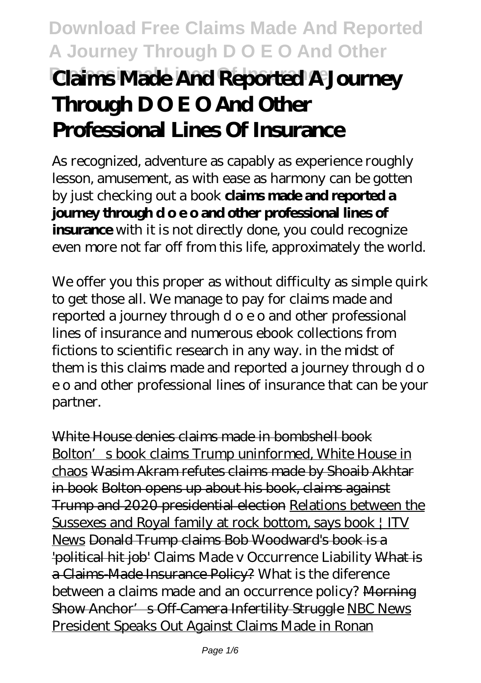# **Download Free Claims Made And Reported A Journey Through D O E O And Other Professional Lines Of Insurance Claims Made And Reported A Journey Through D O E O And Other Professional Lines Of Insurance**

As recognized, adventure as capably as experience roughly lesson, amusement, as with ease as harmony can be gotten by just checking out a book **claims made and reported a journey through d o e o and other professional lines of insurance** with it is not directly done, you could recognize even more not far off from this life, approximately the world.

We offer you this proper as without difficulty as simple quirk to get those all. We manage to pay for claims made and reported a journey through d o e o and other professional lines of insurance and numerous ebook collections from fictions to scientific research in any way. in the midst of them is this claims made and reported a journey through d o e o and other professional lines of insurance that can be your partner.

White House denies claims made in bombshell book Bolton's book claims Trump uninformed, White House in chaos Wasim Akram refutes claims made by Shoaib Akhtar in book Bolton opens up about his book, claims against Trump and 2020 presidential election Relations between the Sussexes and Royal family at rock bottom, says book | ITV News Donald Trump claims Bob Woodward's book is a 'political hit job' Claims Made v Occurrence Liability What is a Claims-Made Insurance Policy? What is the diference between a claims made and an occurrence policy? Morning Show Anchor's Off-Camera Infertility Struggle NBC News President Speaks Out Against Claims Made in Ronan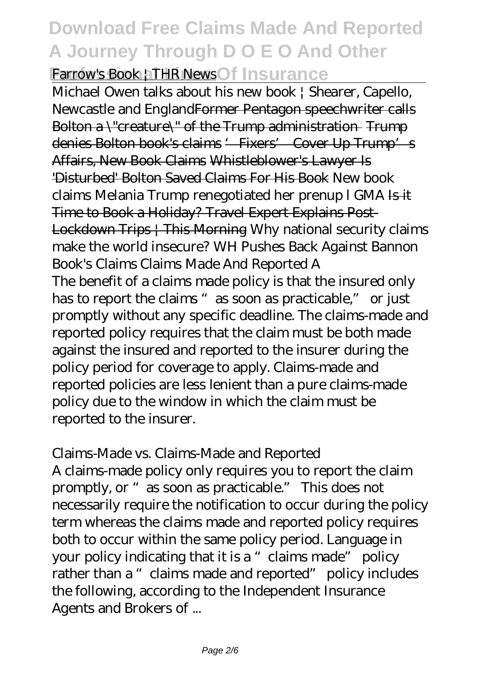### **Download Free Claims Made And Reported A Journey Through D O E O And Other Farrow's Book | THR News Of Insurance**

Michael Owen talks about his new book | Shearer, Capello, Newcastle and EnglandFormer Pentagon speechwriter calls Bolton a \"creature\" of the Trump administration Trump denies Bolton book's claims '- Fixers' Cover Up Trump's Affairs, New Book Claims Whistleblower's Lawyer Is 'Disturbed' Bolton Saved Claims For His Book *New book claims Melania Trump renegotiated her prenup l GMA* Is it Time to Book a Holiday? Travel Expert Explains Post-Lockdown Trips | This Morning *Why national security claims make the world insecure? WH Pushes Back Against Bannon Book's Claims Claims Made And Reported A*

The benefit of a claims made policy is that the insured only has to report the claims "as soon as practicable," or just promptly without any specific deadline. The claims-made and reported policy requires that the claim must be both made against the insured and reported to the insurer during the policy period for coverage to apply. Claims-made and reported policies are less lenient than a pure claims-made policy due to the window in which the claim must be reported to the insurer.

#### *Claims-Made vs. Claims-Made and Reported*

A claims-made policy only requires you to report the claim promptly, or "as soon as practicable." This does not necessarily require the notification to occur during the policy term whereas the claims made and reported policy requires both to occur within the same policy period. Language in your policy indicating that it is a "claims made" policy rather than a "claims made and reported" policy includes the following, according to the Independent Insurance Agents and Brokers of ...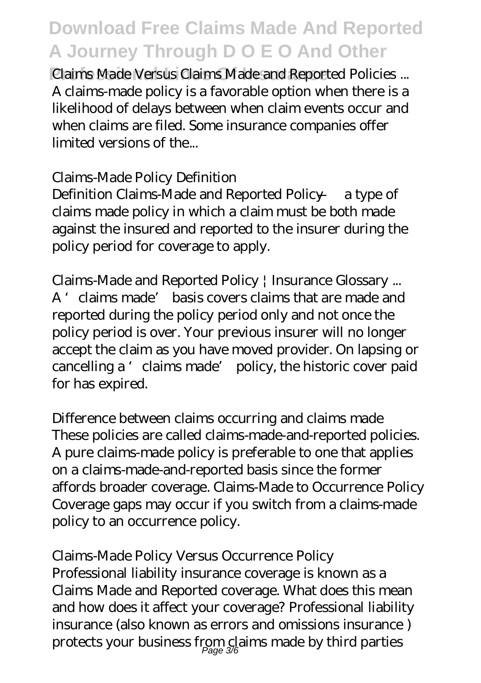**Professional Lines Of Insurance** *Claims Made Versus Claims Made and Reported Policies ...* A claims-made policy is a favorable option when there is a likelihood of delays between when claim events occur and when claims are filed. Some insurance companies offer limited versions of the...

#### *Claims-Made Policy Definition*

Definition Claims-Made and Reported Policy — a type of claims made policy in which a claim must be both made against the insured and reported to the insurer during the policy period for coverage to apply.

### *Claims-Made and Reported Policy | Insurance Glossary ...*

A 'claims made' basis covers claims that are made and reported during the policy period only and not once the policy period is over. Your previous insurer will no longer accept the claim as you have moved provider. On lapsing or cancelling a 'claims made' policy, the historic cover paid for has expired.

### *Difference between claims occurring and claims made*

These policies are called claims-made-and-reported policies. A pure claims-made policy is preferable to one that applies on a claims-made-and-reported basis since the former affords broader coverage. Claims-Made to Occurrence Policy Coverage gaps may occur if you switch from a claims-made policy to an occurrence policy.

#### *Claims-Made Policy Versus Occurrence Policy*

Professional liability insurance coverage is known as a Claims Made and Reported coverage. What does this mean and how does it affect your coverage? Professional liability insurance (also known as errors and omissions insurance ) protects your business from claims made by third parties Page 3/6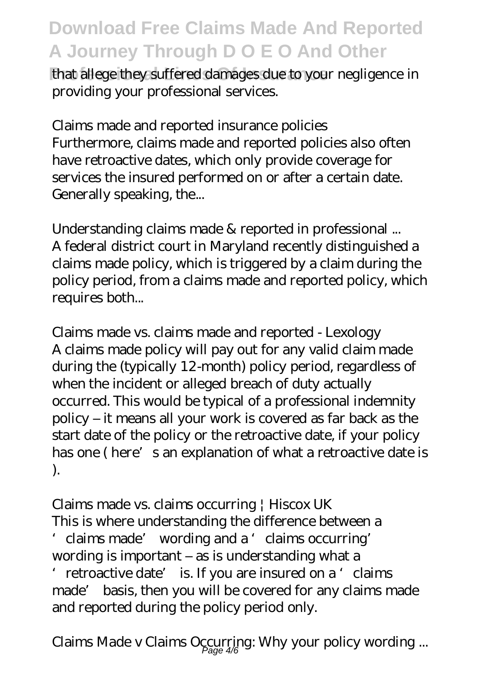that allege they suffered damages due to your negligence in providing your professional services.

#### *Claims made and reported insurance policies*

Furthermore, claims made and reported policies also often have retroactive dates, which only provide coverage for services the insured performed on or after a certain date. Generally speaking, the...

*Understanding claims made & reported in professional ...* A federal district court in Maryland recently distinguished a claims made policy, which is triggered by a claim during the policy period, from a claims made and reported policy, which requires both...

*Claims made vs. claims made and reported - Lexology* A claims made policy will pay out for any valid claim made during the (typically 12-month) policy period, regardless of when the incident or alleged breach of duty actually occurred. This would be typical of a professional indemnity policy – it means all your work is covered as far back as the start date of the policy or the retroactive date, if your policy has one (here's an explanation of what a retroactive date is ).

#### *Claims made vs. claims occurring | Hiscox UK*

This is where understanding the difference between a 'claims made' wording and a 'claims occurring' wording is important – as is understanding what a 'retroactive date' is. If you are insured on a 'claims

made' basis, then you will be covered for any claims made and reported during the policy period only.

*Claims Made v Claims Occurring: Why your policy wording ...* Page 4/6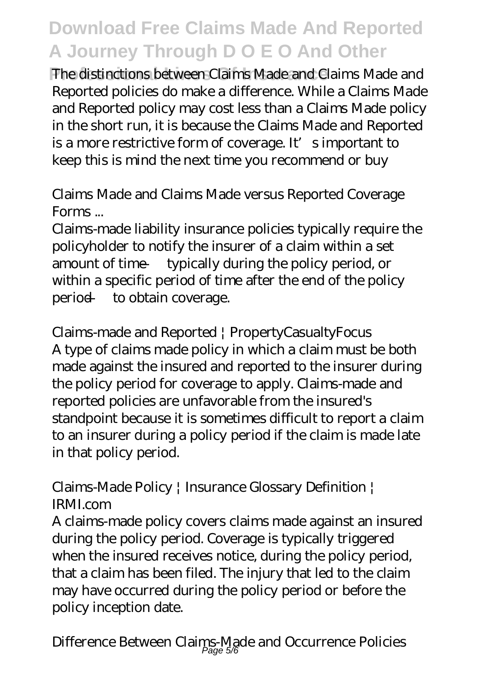**Phe distinctions between Claims Made and Claims Made and Claims** Reported policies do make a difference. While a Claims Made and Reported policy may cost less than a Claims Made policy in the short run, it is because the Claims Made and Reported is a more restrictive form of coverage. It's important to keep this is mind the next time you recommend or buy

### *Claims Made and Claims Made versus Reported Coverage Forms ...*

Claims-made liability insurance policies typically require the policyholder to notify the insurer of a claim within a set amount of time — typically during the policy period, or within a specific period of time after the end of the policy period — to obtain coverage.

*Claims-made and Reported | PropertyCasualtyFocus* A type of claims made policy in which a claim must be both made against the insured and reported to the insurer during the policy period for coverage to apply. Claims-made and reported policies are unfavorable from the insured's standpoint because it is sometimes difficult to report a claim to an insurer during a policy period if the claim is made late in that policy period.

### *Claims-Made Policy | Insurance Glossary Definition | IRMI.com*

A claims-made policy covers claims made against an insured during the policy period. Coverage is typically triggered when the insured receives notice, during the policy period, that a claim has been filed. The injury that led to the claim may have occurred during the policy period or before the policy inception date.

*Difference Between Claims-Made and Occurrence Policies* Page 5/6